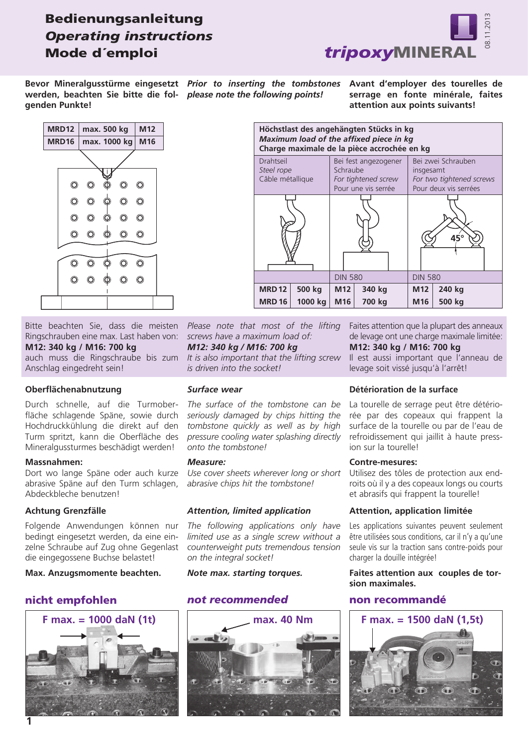## Bedienungsanleitung *Operating instructions* Mode d´emploi



*Prior to inserting the tombstones*  **Bevor Mineralgusstürme eingesetzt**  werden, beachten Sie bitte die fol- please note the following points! **genden Punkte!**

**Avant d'employer des tourelles de serrage en fonte minérale, faites attention aux points suivants!**





Bitte beachten Sie, dass die meisten Ringschrauben eine max. Last haben von: **M12: 340 kg / M16: 700 kg** auch muss die Ringschraube bis zum

Anschlag eingedreht sein!

#### **Oberflächenabnutzung**

Durch schnelle, auf die Turmoberfläche schlagende Späne, sowie durch Hochdruckkühlung die direkt auf den Turm spritzt, kann die Oberfläche des Mineralgussturmes beschädigt werden!

#### **Massnahmen:**

Dort wo lange Späne oder auch kurze abrasive Späne auf den Turm schlagen, Abdeckbleche benutzen!

#### **Achtung Grenzfälle**

Folgende Anwendungen können nur bedingt eingesetzt werden, da eine einzelne Schraube auf Zug ohne Gegenlast die eingegossene Buchse belastet!

#### **Max. Anzugsmomente beachten.**

#### nicht empfohlen



*Please note that most of the lifting screws have a maximum load of: M12: 340 kg / M16: 700 kg*

*It is also important that the lifting screw is driven into the socket!*

#### *Surface wear*

*The surface of the tombstone can be seriously damaged by chips hitting the tombstone quickly as well as by high pressure cooling water splashing directly onto the tombstone!*

#### *Measure:*

*Use cover sheets wherever long or short abrasive chips hit the tombstone!*

#### *Attention, limited application*

*The following applications only have limited use as a single screw without a counterweight puts tremendous tension on the integral socket!*

#### *Note max. starting torques.*

#### *not recommended* non recommandé



Faites attention que la plupart des anneaux de levage ont une charge maximale limitée:

### **M12: 340 kg / M16: 700 kg**

Il est aussi important que l'anneau de levage soit vissé jusqu'à l'arrêt!

#### **Détérioration de la surface**

La tourelle de serrage peut être détériorée par des copeaux qui frappent la surface de la tourelle ou par de l'eau de refroidissement qui jaillit à haute pression sur la tourelle!

#### **Contre-mesures:**

Utilisez des tôles de protection aux endroits où il y a des copeaux longs ou courts et abrasifs qui frappent la tourelle!

#### **Attention, application limitée**

Les applications suivantes peuvent seulement être utilisées sous conditions, car il n'y a qu'une seule vis sur la traction sans contre-poids pour charger la douille intégrée!

#### **Faites attention aux couples de torsion maximales.**



**1**